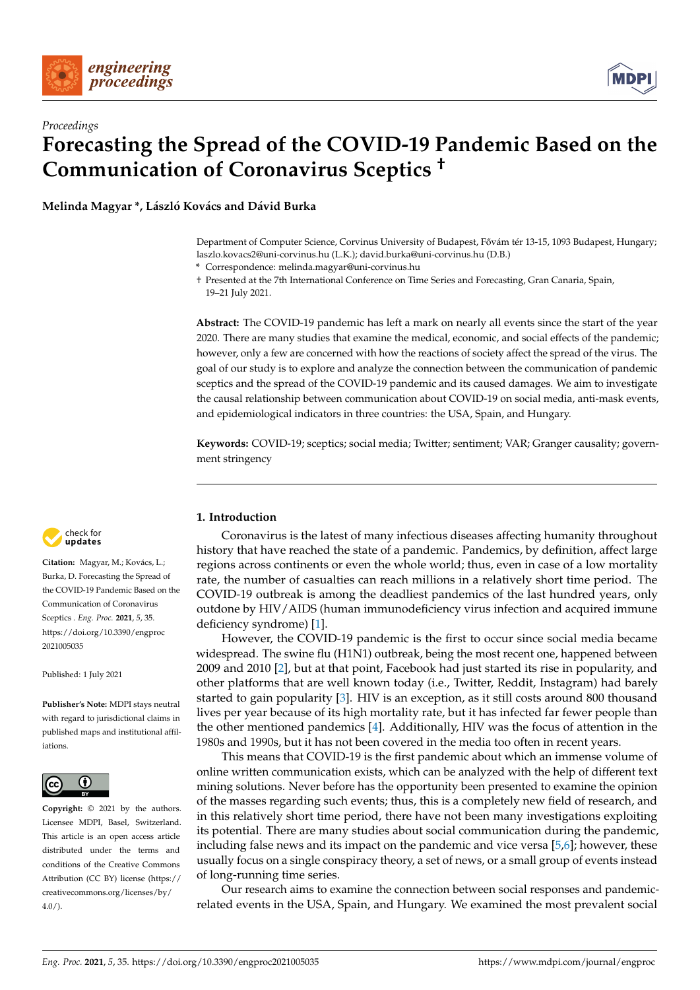



**Melinda Magyar \*, László Kovács and Dávid Burka**

Department of Computer Science, Corvinus University of Budapest, Fővám tér 13-15, 1093 Budapest, Hungary; laszlo.kovacs2@uni-corvinus.hu (L.K.); david.burka@uni-corvinus.hu (D.B.)

**\*** Correspondence: melinda.magyar@uni-corvinus.hu

† Presented at the 7th International Conference on Time Series and Forecasting, Gran Canaria, Spain, 19–21 July 2021.

**Abstract:** The COVID-19 pandemic has left a mark on nearly all events since the start of the year 2020. There are many studies that examine the medical, economic, and social effects of the pandemic; however, only a few are concerned with how the reactions of society affect the spread of the virus. The goal of our study is to explore and analyze the connection between the communication of pandemic sceptics and the spread of the COVID-19 pandemic and its caused damages. We aim to investigate the causal relationship between communication about COVID-19 on social media, anti-mask events, and epidemiological indicators in three countries: the USA, Spain, and Hungary.

**Keywords:** COVID-19; sceptics; social media; Twitter; sentiment; VAR; Granger causality; government stringency

## **1. Introduction**

Coronavirus is the latest of many infectious diseases affecting humanity throughout history that have reached the state of a pandemic. Pandemics, by definition, affect large regions across continents or even the whole world; thus, even in case of a low mortality rate, the number of casualties can reach millions in a relatively short time period. The COVID-19 outbreak is among the deadliest pandemics of the last hundred years, only outdone by HIV/AIDS (human immunodeficiency virus infection and acquired immune deficiency syndrome) [\[1\]](#page-8-0).

However, the COVID-19 pandemic is the first to occur since social media became widespread. The swine flu (H1N1) outbreak, being the most recent one, happened between 2009 and 2010 [\[2\]](#page-8-1), but at that point, Facebook had just started its rise in popularity, and other platforms that are well known today (i.e., Twitter, Reddit, Instagram) had barely started to gain popularity [\[3\]](#page-9-0). HIV is an exception, as it still costs around 800 thousand lives per year because of its high mortality rate, but it has infected far fewer people than the other mentioned pandemics [\[4\]](#page-9-1). Additionally, HIV was the focus of attention in the 1980s and 1990s, but it has not been covered in the media too often in recent years.

This means that COVID-19 is the first pandemic about which an immense volume of online written communication exists, which can be analyzed with the help of different text mining solutions. Never before has the opportunity been presented to examine the opinion of the masses regarding such events; thus, this is a completely new field of research, and in this relatively short time period, there have not been many investigations exploiting its potential. There are many studies about social communication during the pandemic, including false news and its impact on the pandemic and vice versa  $[5,6]$  $[5,6]$ ; however, these usually focus on a single conspiracy theory, a set of news, or a small group of events instead of long-running time series.

Our research aims to examine the connection between social responses and pandemicrelated events in the USA, Spain, and Hungary. We examined the most prevalent social



**Citation:** Magyar, M.; Kovács, L.; Burka, D. Forecasting the Spread of the COVID-19 Pandemic Based on the Communication of Coronavirus Sceptics . *Eng. Proc.* **2021**, *5*, 35. [https://doi.org/10.3390/engproc](https://doi.org/10.3390/engproc2021005035) [2021005035](https://doi.org/10.3390/engproc2021005035)

Published: 1 July 2021

**Publisher's Note:** MDPI stays neutral with regard to jurisdictional claims in published maps and institutional affiliations.



**Copyright:** © 2021 by the authors. Licensee MDPI, Basel, Switzerland. This article is an open access article distributed under the terms and conditions of the Creative Commons Attribution (CC BY) license (https:/[/](https://creativecommons.org/licenses/by/4.0/) [creativecommons.org/licenses/by/](https://creativecommons.org/licenses/by/4.0/)  $4.0/$ ).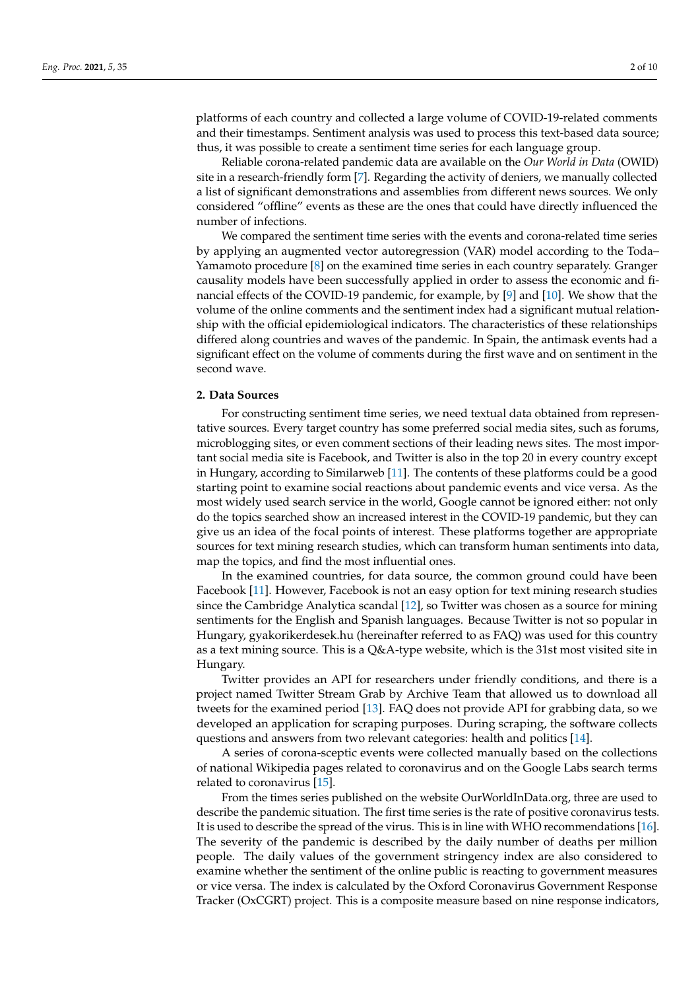platforms of each country and collected a large volume of COVID-19-related comments and their timestamps. Sentiment analysis was used to process this text-based data source; thus, it was possible to create a sentiment time series for each language group.

Reliable corona-related pandemic data are available on the *Our World in Data* (OWID) site in a research-friendly form [\[7\]](#page-9-4). Regarding the activity of deniers, we manually collected a list of significant demonstrations and assemblies from different news sources. We only considered "offline" events as these are the ones that could have directly influenced the number of infections.

We compared the sentiment time series with the events and corona-related time series by applying an augmented vector autoregression (VAR) model according to the Toda– Yamamoto procedure [\[8\]](#page-9-5) on the examined time series in each country separately. Granger causality models have been successfully applied in order to assess the economic and financial effects of the COVID-19 pandemic, for example, by [\[9\]](#page-9-6) and [\[10\]](#page-9-7). We show that the volume of the online comments and the sentiment index had a significant mutual relationship with the official epidemiological indicators. The characteristics of these relationships differed along countries and waves of the pandemic. In Spain, the antimask events had a significant effect on the volume of comments during the first wave and on sentiment in the second wave.

# **2. Data Sources**

For constructing sentiment time series, we need textual data obtained from representative sources. Every target country has some preferred social media sites, such as forums, microblogging sites, or even comment sections of their leading news sites. The most important social media site is Facebook, and Twitter is also in the top 20 in every country except in Hungary, according to Similarweb [\[11\]](#page-9-8). The contents of these platforms could be a good starting point to examine social reactions about pandemic events and vice versa. As the most widely used search service in the world, Google cannot be ignored either: not only do the topics searched show an increased interest in the COVID-19 pandemic, but they can give us an idea of the focal points of interest. These platforms together are appropriate sources for text mining research studies, which can transform human sentiments into data, map the topics, and find the most influential ones.

In the examined countries, for data source, the common ground could have been Facebook [\[11\]](#page-9-8). However, Facebook is not an easy option for text mining research studies since the Cambridge Analytica scandal [\[12\]](#page-9-9), so Twitter was chosen as a source for mining sentiments for the English and Spanish languages. Because Twitter is not so popular in Hungary, gyakorikerdesek.hu (hereinafter referred to as FAQ) was used for this country as a text mining source. This is a Q&A-type website, which is the 31st most visited site in Hungary.

Twitter provides an API for researchers under friendly conditions, and there is a project named Twitter Stream Grab by Archive Team that allowed us to download all tweets for the examined period [\[13\]](#page-9-10). FAQ does not provide API for grabbing data, so we developed an application for scraping purposes. During scraping, the software collects questions and answers from two relevant categories: health and politics [\[14\]](#page-9-11).

A series of corona-sceptic events were collected manually based on the collections of national Wikipedia pages related to coronavirus and on the Google Labs search terms related to coronavirus [\[15\]](#page-9-12).

From the times series published on the website OurWorldInData.org, three are used to describe the pandemic situation. The first time series is the rate of positive coronavirus tests. It is used to describe the spread of the virus. This is in line with WHO recommendations [\[16\]](#page-9-13). The severity of the pandemic is described by the daily number of deaths per million people. The daily values of the government stringency index are also considered to examine whether the sentiment of the online public is reacting to government measures or vice versa. The index is calculated by the Oxford Coronavirus Government Response Tracker (OxCGRT) project. This is a composite measure based on nine response indicators,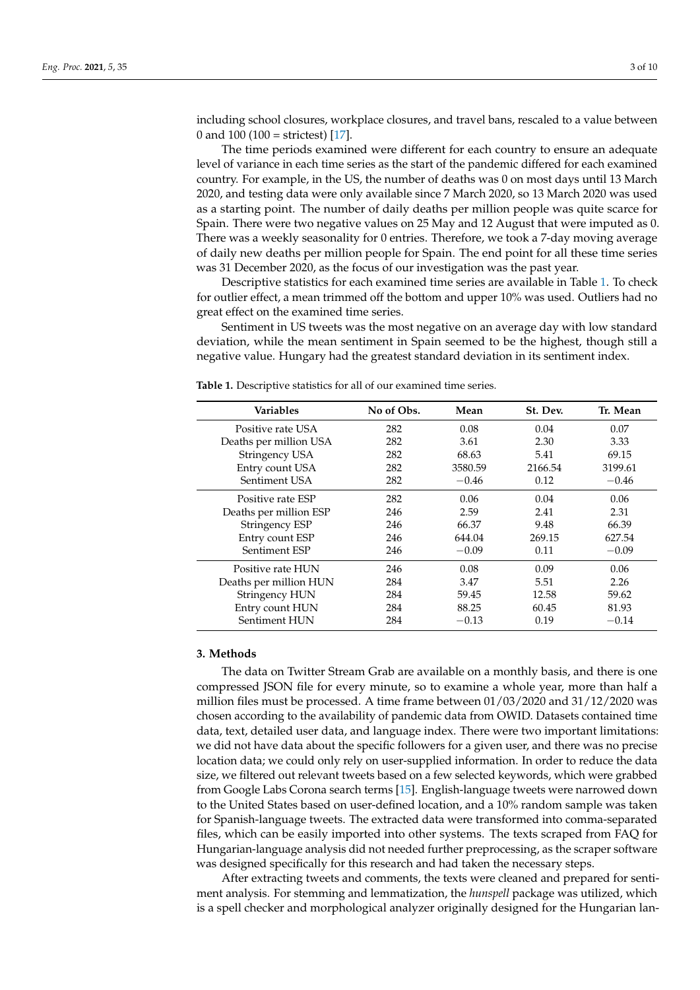including school closures, workplace closures, and travel bans, rescaled to a value between 0 and 100 (100 = strictest) [\[17\]](#page-9-14).

The time periods examined were different for each country to ensure an adequate level of variance in each time series as the start of the pandemic differed for each examined country. For example, in the US, the number of deaths was 0 on most days until 13 March 2020, and testing data were only available since 7 March 2020, so 13 March 2020 was used as a starting point. The number of daily deaths per million people was quite scarce for Spain. There were two negative values on 25 May and 12 August that were imputed as 0. There was a weekly seasonality for 0 entries. Therefore, we took a 7-day moving average of daily new deaths per million people for Spain. The end point for all these time series was 31 December 2020, as the focus of our investigation was the past year.

Descriptive statistics for each examined time series are available in Table [1.](#page-2-0) To check for outlier effect, a mean trimmed off the bottom and upper 10% was used. Outliers had no great effect on the examined time series.

Sentiment in US tweets was the most negative on an average day with low standard deviation, while the mean sentiment in Spain seemed to be the highest, though still a negative value. Hungary had the greatest standard deviation in its sentiment index.

| <b>Variables</b>       | No of Obs. | Mean    | St. Dev. | Tr. Mean |
|------------------------|------------|---------|----------|----------|
| Positive rate USA      | 282        | 0.08    | 0.04     | 0.07     |
| Deaths per million USA | 282        | 3.61    | 2.30     | 3.33     |
| Stringency USA         | 282        | 68.63   | 5.41     | 69.15    |
| Entry count USA        | 282        | 3580.59 | 2166.54  | 3199.61  |
| Sentiment USA          | 282        | $-0.46$ | 0.12     | $-0.46$  |
| Positive rate ESP      | 282        | 0.06    | 0.04     | 0.06     |
| Deaths per million ESP | 246        | 2.59    | 2.41     | 2.31     |
| Stringency ESP         | 246        | 66.37   | 9.48     | 66.39    |
| Entry count ESP        | 246        | 644.04  | 269.15   | 627.54   |
| <b>Sentiment ESP</b>   | 246        | $-0.09$ | 0.11     | $-0.09$  |
| Positive rate HUN      | 246        | 0.08    | 0.09     | 0.06     |
| Deaths per million HUN | 284        | 3.47    | 5.51     | 2.26     |
| Stringency HUN         | 284        | 59.45   | 12.58    | 59.62    |
| Entry count HUN        | 284        | 88.25   | 60.45    | 81.93    |
| Sentiment HUN          | 284        | $-0.13$ | 0.19     | $-0.14$  |

<span id="page-2-0"></span>**Table 1.** Descriptive statistics for all of our examined time series.

### **3. Methods**

The data on Twitter Stream Grab are available on a monthly basis, and there is one compressed JSON file for every minute, so to examine a whole year, more than half a million files must be processed. A time frame between 01/03/2020 and 31/12/2020 was chosen according to the availability of pandemic data from OWID. Datasets contained time data, text, detailed user data, and language index. There were two important limitations: we did not have data about the specific followers for a given user, and there was no precise location data; we could only rely on user-supplied information. In order to reduce the data size, we filtered out relevant tweets based on a few selected keywords, which were grabbed from Google Labs Corona search terms [\[15\]](#page-9-12). English-language tweets were narrowed down to the United States based on user-defined location, and a 10% random sample was taken for Spanish-language tweets. The extracted data were transformed into comma-separated files, which can be easily imported into other systems. The texts scraped from FAQ for Hungarian-language analysis did not needed further preprocessing, as the scraper software was designed specifically for this research and had taken the necessary steps.

After extracting tweets and comments, the texts were cleaned and prepared for sentiment analysis. For stemming and lemmatization, the *hunspell* package was utilized, which is a spell checker and morphological analyzer originally designed for the Hungarian lan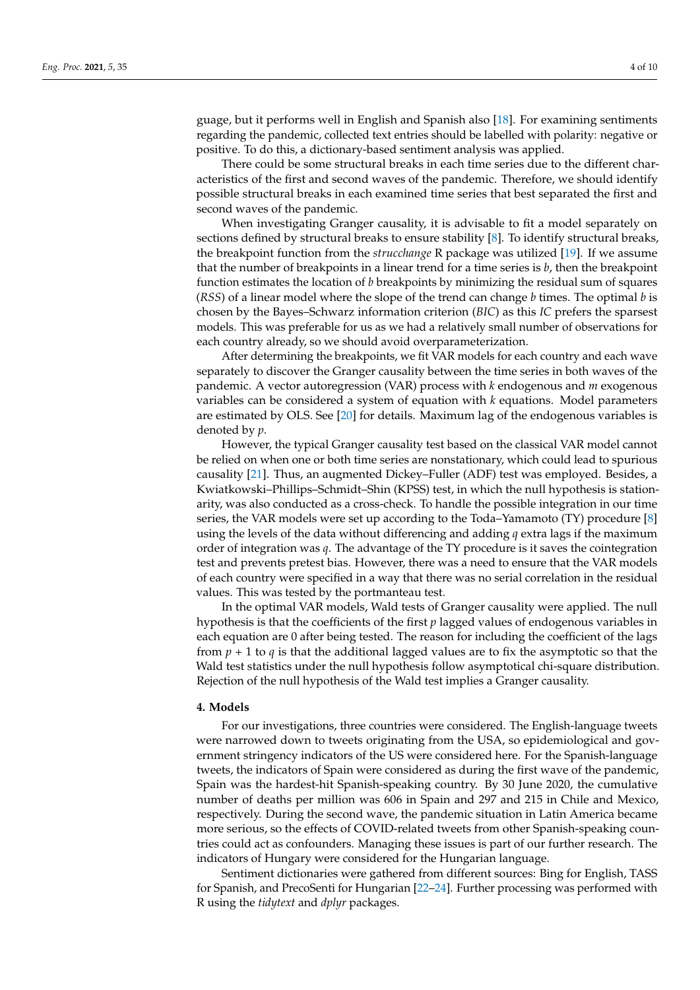guage, but it performs well in English and Spanish also [\[18\]](#page-9-15). For examining sentiments regarding the pandemic, collected text entries should be labelled with polarity: negative or positive. To do this, a dictionary-based sentiment analysis was applied.

There could be some structural breaks in each time series due to the different characteristics of the first and second waves of the pandemic. Therefore, we should identify possible structural breaks in each examined time series that best separated the first and second waves of the pandemic.

When investigating Granger causality, it is advisable to fit a model separately on sections defined by structural breaks to ensure stability [\[8\]](#page-9-5). To identify structural breaks, the breakpoint function from the *strucchange* R package was utilized [\[19\]](#page-9-16). If we assume that the number of breakpoints in a linear trend for a time series is *b*, then the breakpoint function estimates the location of *b* breakpoints by minimizing the residual sum of squares (*RSS*) of a linear model where the slope of the trend can change *b* times. The optimal *b* is chosen by the Bayes–Schwarz information criterion (*BIC*) as this *IC* prefers the sparsest models. This was preferable for us as we had a relatively small number of observations for each country already, so we should avoid overparameterization.

After determining the breakpoints, we fit VAR models for each country and each wave separately to discover the Granger causality between the time series in both waves of the pandemic. A vector autoregression (VAR) process with *k* endogenous and *m* exogenous variables can be considered a system of equation with *k* equations. Model parameters are estimated by OLS. See [\[20\]](#page-9-17) for details. Maximum lag of the endogenous variables is denoted by *p*.

However, the typical Granger causality test based on the classical VAR model cannot be relied on when one or both time series are nonstationary, which could lead to spurious causality [\[21\]](#page-9-18). Thus, an augmented Dickey–Fuller (ADF) test was employed. Besides, a Kwiatkowski–Phillips–Schmidt–Shin (KPSS) test, in which the null hypothesis is stationarity, was also conducted as a cross-check. To handle the possible integration in our time series, the VAR models were set up according to the Toda–Yamamoto (TY) procedure [\[8\]](#page-9-5) using the levels of the data without differencing and adding *q* extra lags if the maximum order of integration was *q*. The advantage of the TY procedure is it saves the cointegration test and prevents pretest bias. However, there was a need to ensure that the VAR models of each country were specified in a way that there was no serial correlation in the residual values. This was tested by the portmanteau test.

In the optimal VAR models, Wald tests of Granger causality were applied. The null hypothesis is that the coefficients of the first *p* lagged values of endogenous variables in each equation are 0 after being tested. The reason for including the coefficient of the lags from  $p + 1$  to q is that the additional lagged values are to fix the asymptotic so that the Wald test statistics under the null hypothesis follow asymptotical chi-square distribution. Rejection of the null hypothesis of the Wald test implies a Granger causality.

#### **4. Models**

For our investigations, three countries were considered. The English-language tweets were narrowed down to tweets originating from the USA, so epidemiological and government stringency indicators of the US were considered here. For the Spanish-language tweets, the indicators of Spain were considered as during the first wave of the pandemic, Spain was the hardest-hit Spanish-speaking country. By 30 June 2020, the cumulative number of deaths per million was 606 in Spain and 297 and 215 in Chile and Mexico, respectively. During the second wave, the pandemic situation in Latin America became more serious, so the effects of COVID-related tweets from other Spanish-speaking countries could act as confounders. Managing these issues is part of our further research. The indicators of Hungary were considered for the Hungarian language.

Sentiment dictionaries were gathered from different sources: Bing for English, TASS for Spanish, and PrecoSenti for Hungarian [\[22–](#page-9-19)[24\]](#page-9-20). Further processing was performed with R using the *tidytext* and *dplyr* packages.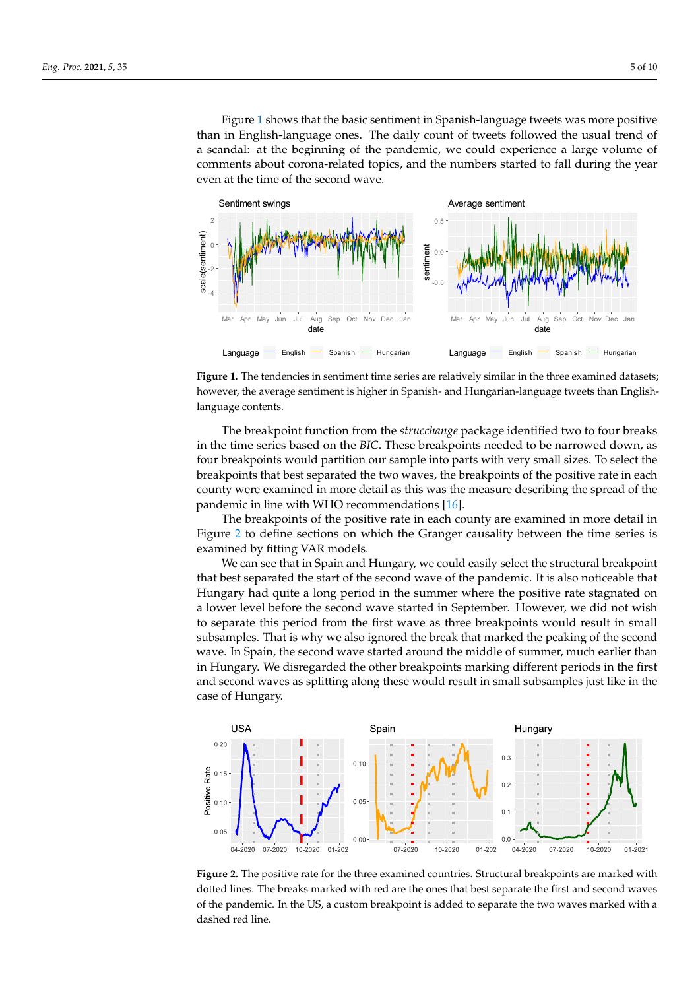Figure 1 shows that the basic sentiment in Spanish-language tweets was more positive than in English-language ones. The daily count of tweets followed the usual trend of a scandal: at the beginning of the pandemic, we could experience a large volume of comments about corona-related topics, and the numbers started to fall during the year even at the time of the second wave. the time of the second wave.

<span id="page-4-0"></span>

**Figure 1.** The tendencies in sentiment time series are relatively similar in the three examined datasets; however, the average sentiment is higher in Spanish- and Hungarian-language tweets than Englishlanguage contents.

in the time series based on the *BIC*. These breakpoints needed to be narrowed down, as four breakpoints would partition our sample into parts with very small sizes. To select the breakpoints that best separated the two waves, the breakpoints of the positive rate in each county were examined in more detail as this was the measure describing the spread of the The breakpoint function from the *strucchange* package identified two to four breaks pandemic in line with WHO recommendations [\[16\]](#page-9-13).

pandemic in mie with write recommendations [10].<br>The breakpoints of the positive rate in each county are examined in more detail in Figure [2](#page-4-1) to define sections on which the Granger causality between the time series is The breakpoints of the positive rate in each county are examined in more detail in examined by fitting VAR models.

We can see that in Spain and Hungary, we could easily select the structural breakpoint that best separated the start of the second wave of the pandemic. It is also noticeable that Hungary had quite a long period in the summer where the positive rate stagnated on a lower level before the second wave started in September. However, we did not wish to separate this period from the first wave as three breakpoints would result in small subsamples. That is why we also ignored the break that marked the peaking of the second in Hungary. We disregarded the other breakpoints marking different periods in the first and second waves as splitting along these would result in small subsamples just like in the case of Hungary. The second wave started around the middle of summer, much earlier than  $\mathcal{L}$ wave. In Spain, the second wave started around the middle of summer, much earlier than

<span id="page-4-1"></span>

**Figure 2.** The positive rate for the three examined countries. Structural breakpoints are marked with **Figure 2.** The positive rate for the three examined countries. Structural breakpoints are marked with dotted lines. The breaks marked with red are the ones that best separate the first and second waves dotted lines. The breaks marked with red are the ones that best separate the first and second waves of the pandemic. In the US, a custom breakpoint is added to separate the two waves marked with a of the pandemic. In the US, a custom breakpoint is added to separate the two waves marked with a dashed red line. dashed red line.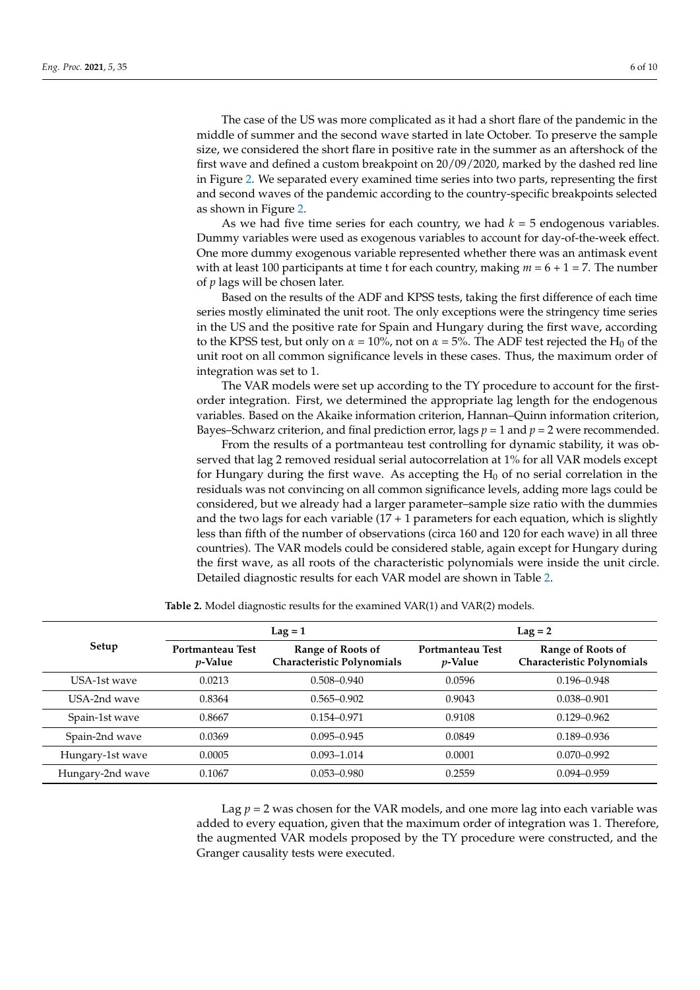The case of the US was more complicated as it had a short flare of the pandemic in the middle of summer and the second wave started in late October. To preserve the sample size, we considered the short flare in positive rate in the summer as an aftershock of the first wave and defined a custom breakpoint on 20/09/2020, marked by the dashed red line in Figure [2.](#page-4-1) We separated every examined time series into two parts, representing the first and second waves of the pandemic according to the country-specific breakpoints selected as shown in Figure [2.](#page-4-1)

As we had five time series for each country, we had  $k = 5$  endogenous variables. Dummy variables were used as exogenous variables to account for day-of-the-week effect. One more dummy exogenous variable represented whether there was an antimask event with at least 100 participants at time t for each country, making *m* = 6 + 1 = 7. The number of *p* lags will be chosen later.

Based on the results of the ADF and KPSS tests, taking the first difference of each time series mostly eliminated the unit root. The only exceptions were the stringency time series in the US and the positive rate for Spain and Hungary during the first wave, according to the KPSS test, but only on  $\alpha = 10\%$ , not on  $\alpha = 5\%$ . The ADF test rejected the H<sub>0</sub> of the unit root on all common significance levels in these cases. Thus, the maximum order of integration was set to 1.

The VAR models were set up according to the TY procedure to account for the firstorder integration. First, we determined the appropriate lag length for the endogenous variables. Based on the Akaike information criterion, Hannan–Quinn information criterion, Bayes–Schwarz criterion, and final prediction error, lags  $p = 1$  and  $p = 2$  were recommended.

From the results of a portmanteau test controlling for dynamic stability, it was observed that lag 2 removed residual serial autocorrelation at 1% for all VAR models except for Hungary during the first wave. As accepting the  $H_0$  of no serial correlation in the residuals was not convincing on all common significance levels, adding more lags could be considered, but we already had a larger parameter–sample size ratio with the dummies and the two lags for each variable  $(17 + 1)$  parameters for each equation, which is slightly less than fifth of the number of observations (circa 160 and 120 for each wave) in all three countries). The VAR models could be considered stable, again except for Hungary during the first wave, as all roots of the characteristic polynomials were inside the unit circle. Detailed diagnostic results for each VAR model are shown in Table [2.](#page-5-0)

<span id="page-5-0"></span>

|                  | $Lag = 1$                           |                                                 | $Lag = 2$                           |                                                 |  |
|------------------|-------------------------------------|-------------------------------------------------|-------------------------------------|-------------------------------------------------|--|
| Setup            | Portmanteau Test<br><i>p</i> -Value | Range of Roots of<br>Characteristic Polynomials | Portmanteau Test<br><i>p</i> -Value | Range of Roots of<br>Characteristic Polynomials |  |
| USA-1st wave     | 0.0213                              | $0.508 - 0.940$                                 | 0.0596                              | $0.196 - 0.948$                                 |  |
| USA-2nd wave     | 0.8364                              | $0.565 - 0.902$                                 | 0.9043                              | $0.038 - 0.901$                                 |  |
| Spain-1st wave   | 0.8667                              | $0.154 - 0.971$                                 | 0.9108                              | $0.129 - 0.962$                                 |  |
| Spain-2nd wave   | 0.0369                              | $0.095 - 0.945$                                 | 0.0849                              | $0.189 - 0.936$                                 |  |
| Hungary-1st wave | 0.0005                              | $0.093 - 1.014$                                 | 0.0001                              | $0.070 - 0.992$                                 |  |
| Hungary-2nd wave | 0.1067                              | $0.053 - 0.980$                                 | 0.2559                              | $0.094 - 0.959$                                 |  |

**Table 2.** Model diagnostic results for the examined VAR(1) and VAR(2) models.

Lag  $p = 2$  was chosen for the VAR models, and one more lag into each variable was added to every equation, given that the maximum order of integration was 1. Therefore, the augmented VAR models proposed by the TY procedure were constructed, and the Granger causality tests were executed.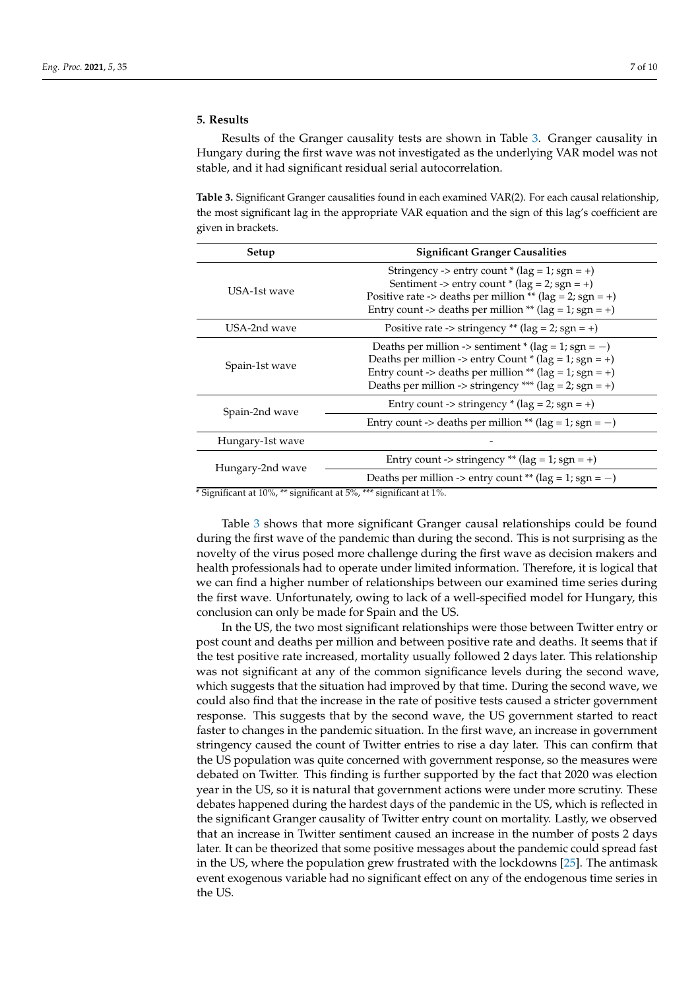# **5. Results**

Results of the Granger causality tests are shown in Table [3.](#page-6-0) Granger causality in Hungary during the first wave was not investigated as the underlying VAR model was not stable, and it had significant residual serial autocorrelation.

<span id="page-6-0"></span>**Table 3.** Significant Granger causalities found in each examined VAR(2). For each causal relationship, the most significant lag in the appropriate VAR equation and the sign of this lag's coefficient are given in brackets.

| Setup            | <b>Significant Granger Causalities</b>                                                                                                                                                                                                    |  |  |
|------------------|-------------------------------------------------------------------------------------------------------------------------------------------------------------------------------------------------------------------------------------------|--|--|
| USA-1st wave     | Stringency -> entry count $*(lag = 1; sgn = +)$<br>Sentiment -> entry count * ( $\log = 2$ ; sgn = +)<br>Positive rate -> deaths per million ** (lag = 2; sgn = +)<br>Entry count -> deaths per million ** ( $\log = 1$ ; sgn = +)        |  |  |
| USA-2nd wave     | Positive rate -> stringency ** ( $\log$ = 2; sgn = +)                                                                                                                                                                                     |  |  |
| Spain-1st wave   | Deaths per million -> sentiment * (lag = 1; sgn = -)<br>Deaths per million -> entry Count * (lag = 1; sgn = +)<br>Entry count -> deaths per million ** (lag = 1; sgn = +)<br>Deaths per million -> stringency *** ( $\log = 2$ ; sgn = +) |  |  |
| Spain-2nd wave   | Entry count -> stringency $*(\text{lag} = 2; \text{ sgn} = +)$                                                                                                                                                                            |  |  |
|                  | Entry count -> deaths per million ** (lag = 1; sgn = -)                                                                                                                                                                                   |  |  |
| Hungary-1st wave |                                                                                                                                                                                                                                           |  |  |
| Hungary-2nd wave | Entry count -> stringency ** ( $\log = 1$ ; sgn = +)                                                                                                                                                                                      |  |  |
|                  | Deaths per million -> entry count ** (lag = 1; sgn = -)                                                                                                                                                                                   |  |  |

\* Significant at 10%, \*\* significant at 5%, \*\*\* significant at 1%.

Table [3](#page-6-0) shows that more significant Granger causal relationships could be found during the first wave of the pandemic than during the second. This is not surprising as the novelty of the virus posed more challenge during the first wave as decision makers and health professionals had to operate under limited information. Therefore, it is logical that we can find a higher number of relationships between our examined time series during the first wave. Unfortunately, owing to lack of a well-specified model for Hungary, this conclusion can only be made for Spain and the US.

In the US, the two most significant relationships were those between Twitter entry or post count and deaths per million and between positive rate and deaths. It seems that if the test positive rate increased, mortality usually followed 2 days later. This relationship was not significant at any of the common significance levels during the second wave, which suggests that the situation had improved by that time. During the second wave, we could also find that the increase in the rate of positive tests caused a stricter government response. This suggests that by the second wave, the US government started to react faster to changes in the pandemic situation. In the first wave, an increase in government stringency caused the count of Twitter entries to rise a day later. This can confirm that the US population was quite concerned with government response, so the measures were debated on Twitter. This finding is further supported by the fact that 2020 was election year in the US, so it is natural that government actions were under more scrutiny. These debates happened during the hardest days of the pandemic in the US, which is reflected in the significant Granger causality of Twitter entry count on mortality. Lastly, we observed that an increase in Twitter sentiment caused an increase in the number of posts 2 days later. It can be theorized that some positive messages about the pandemic could spread fast in the US, where the population grew frustrated with the lockdowns [\[25\]](#page-9-21). The antimask event exogenous variable had no significant effect on any of the endogenous time series in the US.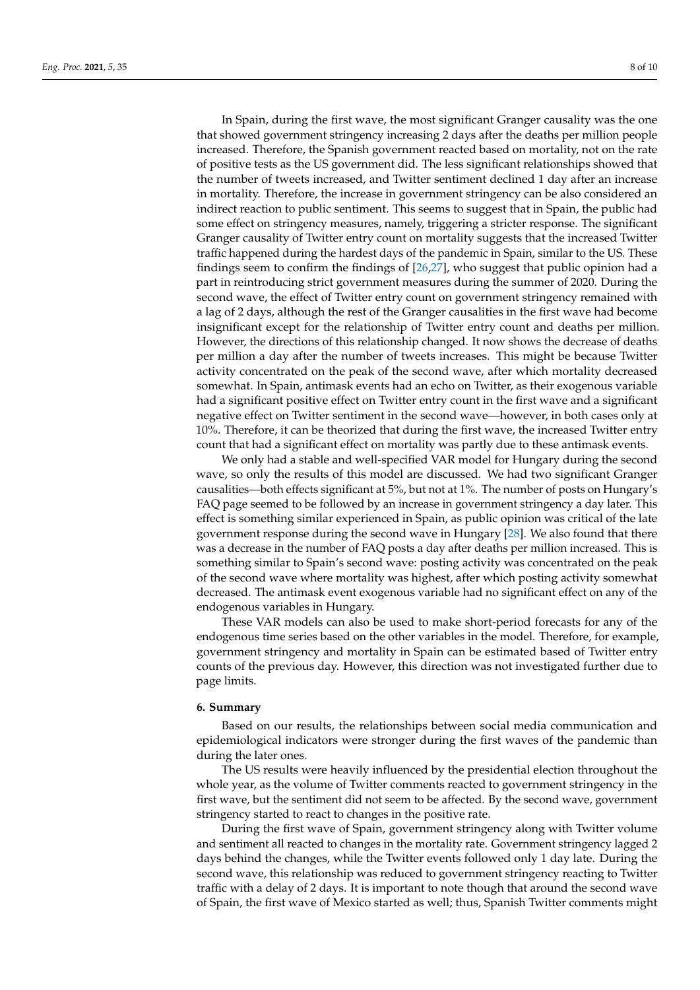In Spain, during the first wave, the most significant Granger causality was the one that showed government stringency increasing 2 days after the deaths per million people increased. Therefore, the Spanish government reacted based on mortality, not on the rate of positive tests as the US government did. The less significant relationships showed that the number of tweets increased, and Twitter sentiment declined 1 day after an increase in mortality. Therefore, the increase in government stringency can be also considered an indirect reaction to public sentiment. This seems to suggest that in Spain, the public had some effect on stringency measures, namely, triggering a stricter response. The significant Granger causality of Twitter entry count on mortality suggests that the increased Twitter traffic happened during the hardest days of the pandemic in Spain, similar to the US. These findings seem to confirm the findings of [\[26,](#page-9-22)[27\]](#page-9-23), who suggest that public opinion had a part in reintroducing strict government measures during the summer of 2020. During the second wave, the effect of Twitter entry count on government stringency remained with a lag of 2 days, although the rest of the Granger causalities in the first wave had become insignificant except for the relationship of Twitter entry count and deaths per million. However, the directions of this relationship changed. It now shows the decrease of deaths per million a day after the number of tweets increases. This might be because Twitter activity concentrated on the peak of the second wave, after which mortality decreased somewhat. In Spain, antimask events had an echo on Twitter, as their exogenous variable had a significant positive effect on Twitter entry count in the first wave and a significant negative effect on Twitter sentiment in the second wave—however, in both cases only at 10%. Therefore, it can be theorized that during the first wave, the increased Twitter entry count that had a significant effect on mortality was partly due to these antimask events.

We only had a stable and well-specified VAR model for Hungary during the second wave, so only the results of this model are discussed. We had two significant Granger causalities—both effects significant at 5%, but not at 1%. The number of posts on Hungary's FAQ page seemed to be followed by an increase in government stringency a day later. This effect is something similar experienced in Spain, as public opinion was critical of the late government response during the second wave in Hungary [\[28\]](#page-9-24). We also found that there was a decrease in the number of FAQ posts a day after deaths per million increased. This is something similar to Spain's second wave: posting activity was concentrated on the peak of the second wave where mortality was highest, after which posting activity somewhat decreased. The antimask event exogenous variable had no significant effect on any of the endogenous variables in Hungary.

These VAR models can also be used to make short-period forecasts for any of the endogenous time series based on the other variables in the model. Therefore, for example, government stringency and mortality in Spain can be estimated based of Twitter entry counts of the previous day. However, this direction was not investigated further due to page limits.

#### **6. Summary**

Based on our results, the relationships between social media communication and epidemiological indicators were stronger during the first waves of the pandemic than during the later ones.

The US results were heavily influenced by the presidential election throughout the whole year, as the volume of Twitter comments reacted to government stringency in the first wave, but the sentiment did not seem to be affected. By the second wave, government stringency started to react to changes in the positive rate.

During the first wave of Spain, government stringency along with Twitter volume and sentiment all reacted to changes in the mortality rate. Government stringency lagged 2 days behind the changes, while the Twitter events followed only 1 day late. During the second wave, this relationship was reduced to government stringency reacting to Twitter traffic with a delay of 2 days. It is important to note though that around the second wave of Spain, the first wave of Mexico started as well; thus, Spanish Twitter comments might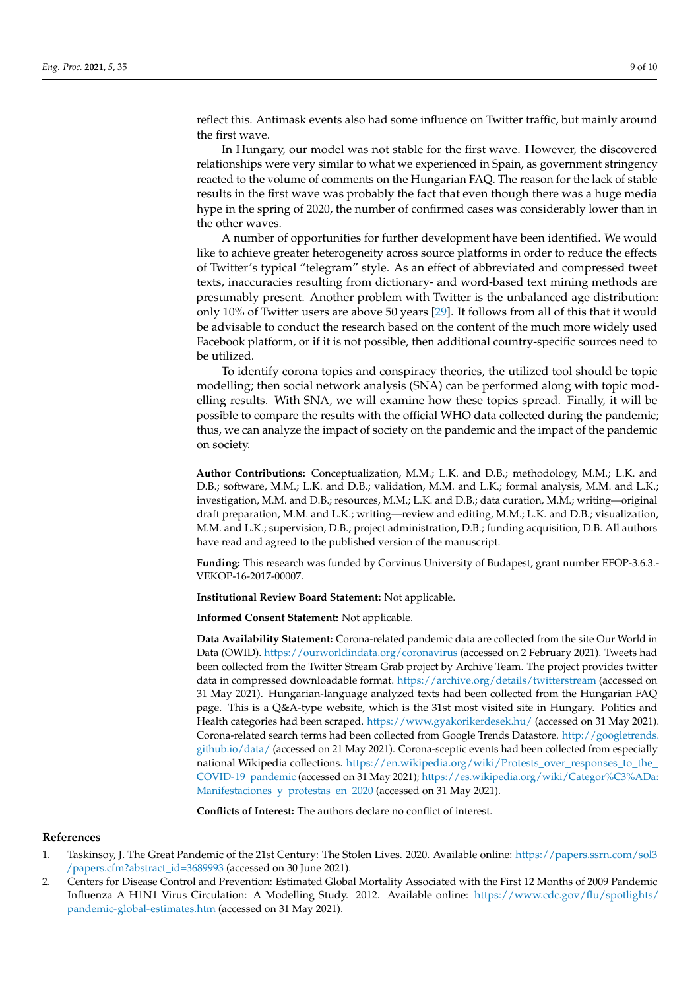reflect this. Antimask events also had some influence on Twitter traffic, but mainly around the first wave.

In Hungary, our model was not stable for the first wave. However, the discovered relationships were very similar to what we experienced in Spain, as government stringency reacted to the volume of comments on the Hungarian FAQ. The reason for the lack of stable results in the first wave was probably the fact that even though there was a huge media hype in the spring of 2020, the number of confirmed cases was considerably lower than in the other waves.

A number of opportunities for further development have been identified. We would like to achieve greater heterogeneity across source platforms in order to reduce the effects of Twitter's typical "telegram" style. As an effect of abbreviated and compressed tweet texts, inaccuracies resulting from dictionary- and word-based text mining methods are presumably present. Another problem with Twitter is the unbalanced age distribution: only 10% of Twitter users are above 50 years [\[29\]](#page-9-25). It follows from all of this that it would be advisable to conduct the research based on the content of the much more widely used Facebook platform, or if it is not possible, then additional country-specific sources need to be utilized.

To identify corona topics and conspiracy theories, the utilized tool should be topic modelling; then social network analysis (SNA) can be performed along with topic modelling results. With SNA, we will examine how these topics spread. Finally, it will be possible to compare the results with the official WHO data collected during the pandemic; thus, we can analyze the impact of society on the pandemic and the impact of the pandemic on society.

**Author Contributions:** Conceptualization, M.M.; L.K. and D.B.; methodology, M.M.; L.K. and D.B.; software, M.M.; L.K. and D.B.; validation, M.M. and L.K.; formal analysis, M.M. and L.K.; investigation, M.M. and D.B.; resources, M.M.; L.K. and D.B.; data curation, M.M.; writing—original draft preparation, M.M. and L.K.; writing—review and editing, M.M.; L.K. and D.B.; visualization, M.M. and L.K.; supervision, D.B.; project administration, D.B.; funding acquisition, D.B. All authors have read and agreed to the published version of the manuscript.

**Funding:** This research was funded by Corvinus University of Budapest, grant number EFOP-3.6.3.- VEKOP-16-2017-00007.

**Institutional Review Board Statement:** Not applicable.

**Informed Consent Statement:** Not applicable.

**Data Availability Statement:** Corona-related pandemic data are collected from the site Our World in Data (OWID). <https://ourworldindata.org/coronavirus> (accessed on 2 February 2021). Tweets had been collected from the Twitter Stream Grab project by Archive Team. The project provides twitter data in compressed downloadable format. <https://archive.org/details/twitterstream> (accessed on 31 May 2021). Hungarian-language analyzed texts had been collected from the Hungarian FAQ page. This is a Q&A-type website, which is the 31st most visited site in Hungary. Politics and Health categories had been scraped. <https://www.gyakorikerdesek.hu/> (accessed on 31 May 2021). Corona-related search terms had been collected from Google Trends Datastore. [http://googletrends.](http://googletrends.github.io/data/) [github.io/data/](http://googletrends.github.io/data/) (accessed on 21 May 2021). Corona-sceptic events had been collected from especially national Wikipedia collections. [https://en.wikipedia.org/wiki/Protests\\_over\\_responses\\_to\\_the\\_](https://en.wikipedia.org/wiki/Protests_over_responses_to_the_COVID-19_pandemic) [COVID-19\\_pandemic](https://en.wikipedia.org/wiki/Protests_over_responses_to_the_COVID-19_pandemic) (accessed on 31 May 2021); [https://es.wikipedia.org/wiki/Categor%C3%ADa:](https://es.wikipedia.org/wiki/Categor%C3%ADa:Manifestaciones_y_protestas_en_2020) [Manifestaciones\\_y\\_protestas\\_en\\_2020](https://es.wikipedia.org/wiki/Categor%C3%ADa:Manifestaciones_y_protestas_en_2020) (accessed on 31 May 2021).

**Conflicts of Interest:** The authors declare no conflict of interest.

### **References**

- <span id="page-8-0"></span>1. Taskinsoy, J. The Great Pandemic of the 21st Century: The Stolen Lives. 2020. Available online: [https://papers.ssrn.com/sol3](https://papers.ssrn.com/sol3/papers.cfm?abstract_id=3689993) [/papers.cfm?abstract\\_id=3689993](https://papers.ssrn.com/sol3/papers.cfm?abstract_id=3689993) (accessed on 30 June 2021).
- <span id="page-8-1"></span>2. Centers for Disease Control and Prevention: Estimated Global Mortality Associated with the First 12 Months of 2009 Pandemic Influenza A H1N1 Virus Circulation: A Modelling Study. 2012. Available online: [https://www.cdc.gov/flu/spotlights/](https://www.cdc.gov/flu/spotlights/pandemic-global-estimates.htm) [pandemic-global-estimates.htm](https://www.cdc.gov/flu/spotlights/pandemic-global-estimates.htm) (accessed on 31 May 2021).